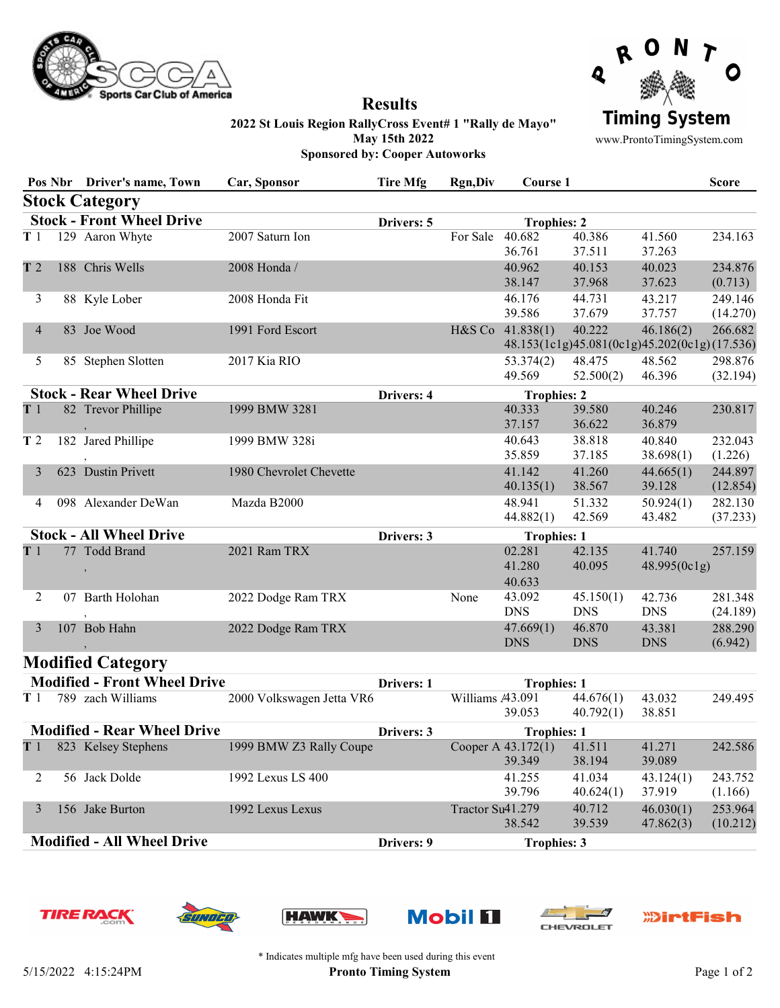



## 2022 St Louis Region RallyCross Event# 1 "Rally de Mayo" May 15th 2022 Sponsored by: Cooper Autoworks

Results

www.ProntoTimingSystem.com

|                                  |  | Pos Nbr Driver's name, Town    | Car, Sponsor            | <b>Tire Mfg</b> | <b>Rgn,Div</b>     | Course 1                   |                         |                                                           | <b>Score</b>        |
|----------------------------------|--|--------------------------------|-------------------------|-----------------|--------------------|----------------------------|-------------------------|-----------------------------------------------------------|---------------------|
|                                  |  | <b>Stock Category</b>          |                         |                 |                    |                            |                         |                                                           |                     |
| <b>Stock - Front Wheel Drive</b> |  |                                |                         | Drivers: 5      |                    | <b>Trophies: 2</b>         |                         |                                                           |                     |
| T <sub>1</sub>                   |  | 129 Aaron Whyte                | 2007 Saturn Ion         |                 | For Sale           | 40.682<br>36.761           | 40.386<br>37.511        | 41.560<br>37.263                                          | 234.163             |
| T <sub>2</sub>                   |  | 188 Chris Wells                | 2008 Honda /            |                 |                    | 40.962<br>38.147           | 40.153<br>37.968        | 40.023<br>37.623                                          | 234.876<br>(0.713)  |
| 3                                |  | 88 Kyle Lober                  | 2008 Honda Fit          |                 |                    | 46.176<br>39.586           | 44.731<br>37.679        | 43.217<br>37.757                                          | 249.146<br>(14.270) |
| 4                                |  | 83 Joe Wood                    | 1991 Ford Escort        |                 | H&S Co             | 41.838(1)                  | 40.222                  | 46.186(2)<br>48.153(1c1g)45.081(0c1g)45.202(0c1g)(17.536) | 266.682             |
| 5                                |  | 85 Stephen Slotten             | 2017 Kia RIO            |                 |                    | 53.374(2)<br>49.569        | 48.475<br>52.500(2)     | 48.562<br>46.396                                          | 298.876<br>(32.194) |
| <b>Stock - Rear Wheel Drive</b>  |  |                                | Drivers: 4              |                 | <b>Trophies: 2</b> |                            |                         |                                                           |                     |
| T1                               |  | 82 Trevor Phillipe             | 1999 BMW 3281           |                 |                    | 40.333<br>37.157           | 39.580<br>36.622        | 40.246<br>36.879                                          | 230.817             |
| T <sub>2</sub>                   |  | 182 Jared Phillipe             | 1999 BMW 328i           |                 |                    | 40.643<br>35.859           | 38.818<br>37.185        | 40.840<br>38.698(1)                                       | 232.043<br>(1.226)  |
|                                  |  | 623 Dustin Privett             | 1980 Chevrolet Chevette |                 |                    | 41.142<br>40.135(1)        | 41.260<br>38.567        | 44.665(1)<br>39.128                                       | 244.897<br>(12.854) |
| 4                                |  | 098 Alexander DeWan            | Mazda B2000             |                 |                    | 48.941<br>44.882(1)        | 51.332<br>42.569        | 50.924(1)<br>43.482                                       | 282.130<br>(37.233) |
|                                  |  | <b>Stock - All Wheel Drive</b> |                         | Drivers: 3      |                    | <b>Trophies: 1</b>         |                         |                                                           |                     |
| T1                               |  | 77 Todd Brand                  | 2021 Ram TRX            |                 |                    | 02.281<br>41.280<br>40.633 | 42.135<br>40.095        | 41.740<br>48.995(0c1g)                                    | 257.159             |
| 2                                |  | 07 Barth Holohan               | 2022 Dodge Ram TRX      |                 | None               | 43.092<br><b>DNS</b>       | 45.150(1)<br><b>DNS</b> | 42.736<br><b>DNS</b>                                      | 281.348<br>(24.189) |
| 3                                |  | 107 Bob Hahn                   | 2022 Dodge Ram TRX      |                 |                    | 47.669(1)<br><b>DNS</b>    | 46.870<br><b>DNS</b>    | 43.381<br><b>DNS</b>                                      | 288.290<br>(6.942)  |

## Modified Category

| <b>Modified - Front Wheel Drive</b> |                      |                           | Drivers: 1 | <b>Trophies: 1</b>   |           |           |          |
|-------------------------------------|----------------------|---------------------------|------------|----------------------|-----------|-----------|----------|
| T <sub>1</sub>                      | zach Williams<br>789 | 2000 Volkswagen Jetta VR6 |            | Williams $\mu$ 3.091 | 44.676(1) | 43.032    | 249.495  |
|                                     |                      |                           |            | 39.053               | 40.792(1) | 38.851    |          |
| <b>Modified - Rear Wheel Drive</b>  |                      |                           | Drivers: 3 | <b>Trophies: 1</b>   |           |           |          |
| T <sub>1</sub>                      | 823 Kelsey Stephens  | 1999 BMW Z3 Rally Coupe   |            | Cooper A $43.172(1)$ | 41.511    | 41.271    | 242.586  |
|                                     |                      |                           |            | 39.349               | 38.194    | 39.089    |          |
|                                     | Jack Dolde<br>56.    | 1992 Lexus LS 400         |            | 41.255               | 41.034    | 43.124(1) | 243.752  |
|                                     |                      |                           |            | 39.796               | 40.624(1) | 37.919    | (1.166)  |
|                                     | Jake Burton<br>156   | 1992 Lexus Lexus          |            | Tractor Su41.279     | 40.712    | 46.030(1) | 253.964  |
|                                     |                      |                           |            | 38.542               | 39.539    | 47.862(3) | (10.212) |
| <b>Modified - All Wheel Drive</b>   |                      |                           | Drivers: 9 | <b>Trophies: 3</b>   |           |           |          |













\* Indicates multiple mfg have been used during this event